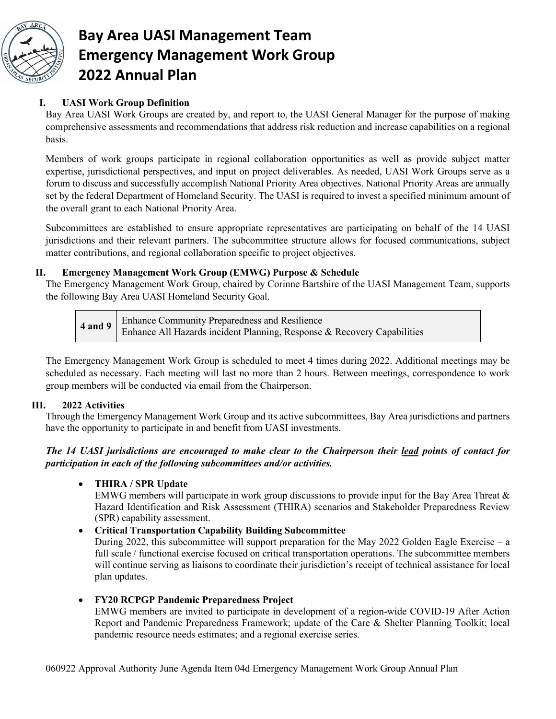

# **Bay Area UASI Management Team Emergency Management Work Group 2022 Annual Plan**

# **I. UASI Work Group Definition**

Bay Area UASI Work Groups are created by, and report to, the UASI General Manager for the purpose of making comprehensive assessments and recommendations that address risk reduction and increase capabilities on a regional basis.

Members of work groups participate in regional collaboration opportunities as well as provide subject matter expertise, jurisdictional perspectives, and input on project deliverables. As needed, UASI Work Groups serve as a forum to discuss and successfully accomplish National Priority Area objectives. National Priority Areas are annually set by the federal Department of Homeland Security. The UASI is required to invest a specified minimum amount of the overall grant to each National Priority Area.

Subcommittees are established to ensure appropriate representatives are participating on behalf of the 14 UASI jurisdictions and their relevant partners. The subcommittee structure allows for focused communications, subject matter contributions, and regional collaboration specific to project objectives.

### **II. Emergency Management Work Group (EMWG) Purpose & Schedule**

The Emergency Management Work Group, chaired by Corinne Bartshire of the UASI Management Team, supports the following Bay Area UASI Homeland Security Goal.

|  | <b>4 and 9</b> Enhance Community Preparedness and Resilience<br>Enhance All Hazards incident Planning, Response & Recovery Capabilities |
|--|-----------------------------------------------------------------------------------------------------------------------------------------|
|  |                                                                                                                                         |

The Emergency Management Work Group is scheduled to meet 4 times during 2022. Additional meetings may be scheduled as necessary. Each meeting will last no more than 2 hours. Between meetings, correspondence to work group members will be conducted via email from the Chairperson.

## **III. 2022 Activities**

Through the Emergency Management Work Group and its active subcommittees, Bay Area jurisdictions and partners have the opportunity to participate in and benefit from UASI investments.

*The 14 UASI jurisdictions are encouraged to make clear to the Chairperson their lead points of contact for participation in each of the following subcommittees and/or activities.*

## • **THIRA / SPR Update**

EMWG members will participate in work group discussions to provide input for the Bay Area Threat  $\&$ Hazard Identification and Risk Assessment (THIRA) scenarios and Stakeholder Preparedness Review (SPR) capability assessment.

## • **Critical Transportation Capability Building Subcommittee**

During 2022, this subcommittee will support preparation for the May 2022 Golden Eagle Exercise – a full scale / functional exercise focused on critical transportation operations. The subcommittee members will continue serving as liaisons to coordinate their jurisdiction's receipt of technical assistance for local plan updates.

#### • **FY20 RCPGP Pandemic Preparedness Project**

EMWG members are invited to participate in development of a region-wide COVID-19 After Action Report and Pandemic Preparedness Framework; update of the Care & Shelter Planning Toolkit; local pandemic resource needs estimates; and a regional exercise series.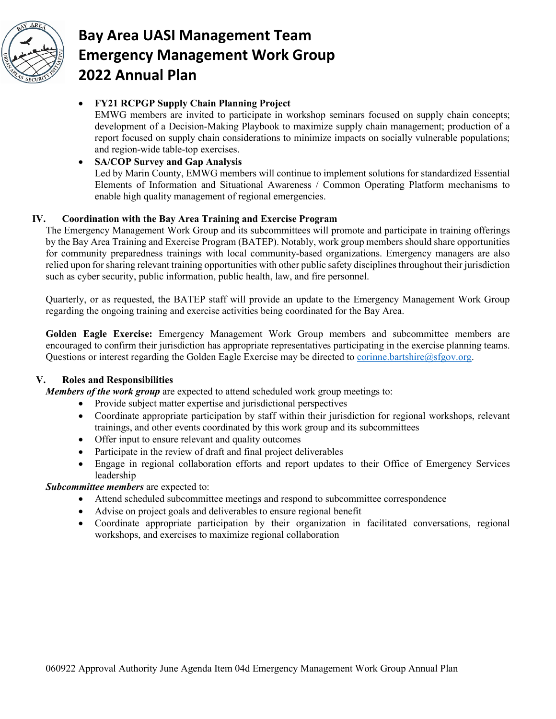

# **Bay Area UASI Management Team Emergency Management Work Group 2022 Annual Plan**

#### • **FY21 RCPGP Supply Chain Planning Project**

EMWG members are invited to participate in workshop seminars focused on supply chain concepts; development of a Decision-Making Playbook to maximize supply chain management; production of a report focused on supply chain considerations to minimize impacts on socially vulnerable populations; and region-wide table-top exercises.

### • **SA/COP Survey and Gap Analysis**

Led by Marin County, EMWG members will continue to implement solutions for standardized Essential Elements of Information and Situational Awareness / Common Operating Platform mechanisms to enable high quality management of regional emergencies.

#### **IV. Coordination with the Bay Area Training and Exercise Program**

The Emergency Management Work Group and its subcommittees will promote and participate in training offerings by the Bay Area Training and Exercise Program (BATEP). Notably, work group members should share opportunities for community preparedness trainings with local community-based organizations. Emergency managers are also relied upon for sharing relevant training opportunities with other public safety disciplines throughout their jurisdiction such as cyber security, public information, public health, law, and fire personnel.

Quarterly, or as requested, the BATEP staff will provide an update to the Emergency Management Work Group regarding the ongoing training and exercise activities being coordinated for the Bay Area.

**Golden Eagle Exercise:** Emergency Management Work Group members and subcommittee members are encouraged to confirm their jurisdiction has appropriate representatives participating in the exercise planning teams. Questions or interest regarding the Golden Eagle Exercise may be directed to [corinne.bartshire@sfgov.org.](mailto:corinne.bartshire@sfgov.org)

## **V. Roles and Responsibilities**

*Members of the work group* are expected to attend scheduled work group meetings to:

- Provide subject matter expertise and jurisdictional perspectives
- Coordinate appropriate participation by staff within their jurisdiction for regional workshops, relevant trainings, and other events coordinated by this work group and its subcommittees
- Offer input to ensure relevant and quality outcomes
- Participate in the review of draft and final project deliverables
- Engage in regional collaboration efforts and report updates to their Office of Emergency Services leadership

*Subcommittee members* are expected to:

- Attend scheduled subcommittee meetings and respond to subcommittee correspondence
- Advise on project goals and deliverables to ensure regional benefit
- Coordinate appropriate participation by their organization in facilitated conversations, regional workshops, and exercises to maximize regional collaboration